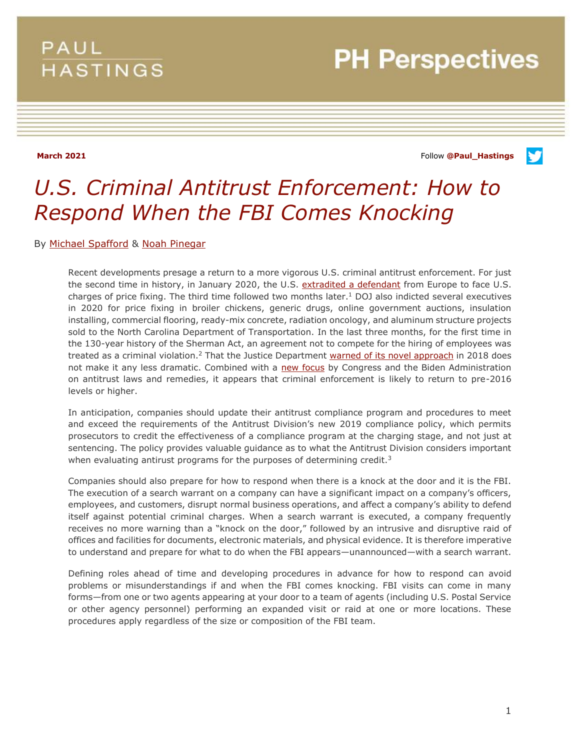## PAUL **HASTINGS**

# **PH Perspectives**

**March 2021** Follow **[@Paul\\_Hastings](http://twitter.com/Paul_Hastings)**

v

# *U.S. Criminal Antitrust Enforcement: How to Respond When the FBI Comes Knocking*

By [Michael Spafford](https://www.paulhastings.com/professionals/michaelspafford) & [Noah Pinegar](https://www.paulhastings.com/professionals/noahpinegar)

Recent developments presage a return to a more vigorous U.S. criminal antitrust enforcement. For just the second time in history, in January 2020, the U.S. [extradited a defendant](https://www.paulhastings.com/insights/client-alerts/extradition-in-price-fixing-case-the-latest-reminder-of-the-reach-of-us-antitrust-laws) from Europe to face U.S. charges of price fixing. The third time followed two months later. $1$  DOJ also indicted several executives in 2020 for price fixing in broiler chickens, generic drugs, online government auctions, insulation installing, commercial flooring, ready-mix concrete, radiation oncology, and aluminum structure projects sold to the North Carolina Department of Transportation. In the last three months, for the first time in the 130-year history of the Sherman Act, an agreement not to compete for the hiring of employees was treated as a criminal violation.<sup>2</sup> That the Justice Department [warned of its novel approach](https://www.paulhastings.com/insights/client-alerts/antitrust-division-signals-criminal-cases-on-no-poach-agreements-among-employers) in 2018 does not make it any less dramatic. Combined with a [new focus](https://www.paulhastings.com/insights/client-alerts/how-the-antitrust-landscape-may-change-in-2021-compliance-risks-in-a-democratic-washington) by Congress and the Biden Administration on antitrust laws and remedies, it appears that criminal enforcement is likely to return to pre-2016 levels or higher.

In anticipation, companies should update their antitrust compliance program and procedures to meet and exceed the requirements of the Antitrust Division's new 2019 compliance policy, which permits prosecutors to credit the effectiveness of a compliance program at the charging stage, and not just at sentencing. The policy provides valuable guidance as to what the Antitrust Division considers important when evaluating antirust programs for the purposes of determining credit.<sup>3</sup>

Companies should also prepare for how to respond when there is a knock at the door and it is the FBI. The execution of a search warrant on a company can have a significant impact on a company's officers, employees, and customers, disrupt normal business operations, and affect a company's ability to defend itself against potential criminal charges. When a search warrant is executed, a company frequently receives no more warning than a "knock on the door," followed by an intrusive and disruptive raid of offices and facilities for documents, electronic materials, and physical evidence. It is therefore imperative to understand and prepare for what to do when the FBI appears—unannounced—with a search warrant.

Defining roles ahead of time and developing procedures in advance for how to respond can avoid problems or misunderstandings if and when the FBI comes knocking. FBI visits can come in many forms—from one or two agents appearing at your door to a team of agents (including U.S. Postal Service or other agency personnel) performing an expanded visit or raid at one or more locations. These procedures apply regardless of the size or composition of the FBI team.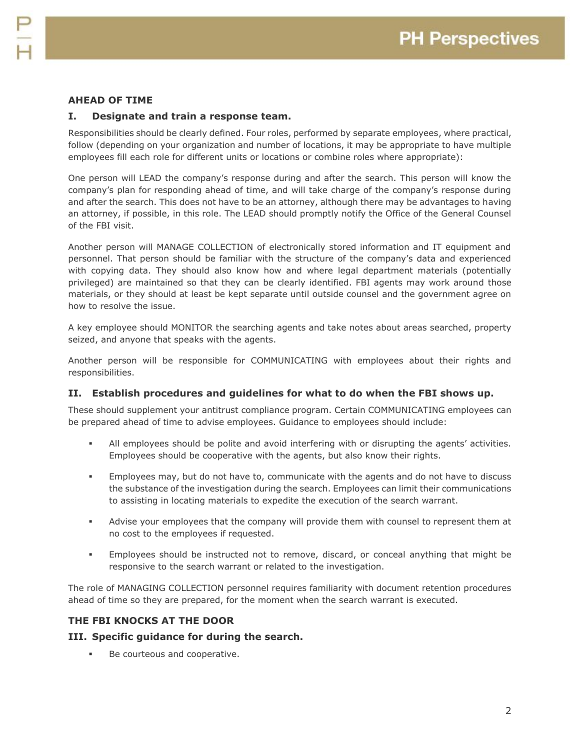### **AHEAD OF TIME**

#### **I. Designate and train a response team.**

Responsibilities should be clearly defined. Four roles, performed by separate employees, where practical, follow (depending on your organization and number of locations, it may be appropriate to have multiple employees fill each role for different units or locations or combine roles where appropriate):

One person will LEAD the company's response during and after the search. This person will know the company's plan for responding ahead of time, and will take charge of the company's response during and after the search. This does not have to be an attorney, although there may be advantages to having an attorney, if possible, in this role. The LEAD should promptly notify the Office of the General Counsel of the FBI visit.

Another person will MANAGE COLLECTION of electronically stored information and IT equipment and personnel. That person should be familiar with the structure of the company's data and experienced with copying data. They should also know how and where legal department materials (potentially privileged) are maintained so that they can be clearly identified. FBI agents may work around those materials, or they should at least be kept separate until outside counsel and the government agree on how to resolve the issue.

A key employee should MONITOR the searching agents and take notes about areas searched, property seized, and anyone that speaks with the agents.

Another person will be responsible for COMMUNICATING with employees about their rights and responsibilities.

#### **II. Establish procedures and guidelines for what to do when the FBI shows up.**

These should supplement your antitrust compliance program. Certain COMMUNICATING employees can be prepared ahead of time to advise employees. Guidance to employees should include:

- All employees should be polite and avoid interfering with or disrupting the agents' activities. Employees should be cooperative with the agents, but also know their rights.
- Employees may, but do not have to, communicate with the agents and do not have to discuss the substance of the investigation during the search. Employees can limit their communications to assisting in locating materials to expedite the execution of the search warrant.
- Advise your employees that the company will provide them with counsel to represent them at no cost to the employees if requested.
- Employees should be instructed not to remove, discard, or conceal anything that might be responsive to the search warrant or related to the investigation.

The role of MANAGING COLLECTION personnel requires familiarity with document retention procedures ahead of time so they are prepared, for the moment when the search warrant is executed.

#### **THE FBI KNOCKS AT THE DOOR**

#### **III. Specific guidance for during the search.**

Be courteous and cooperative.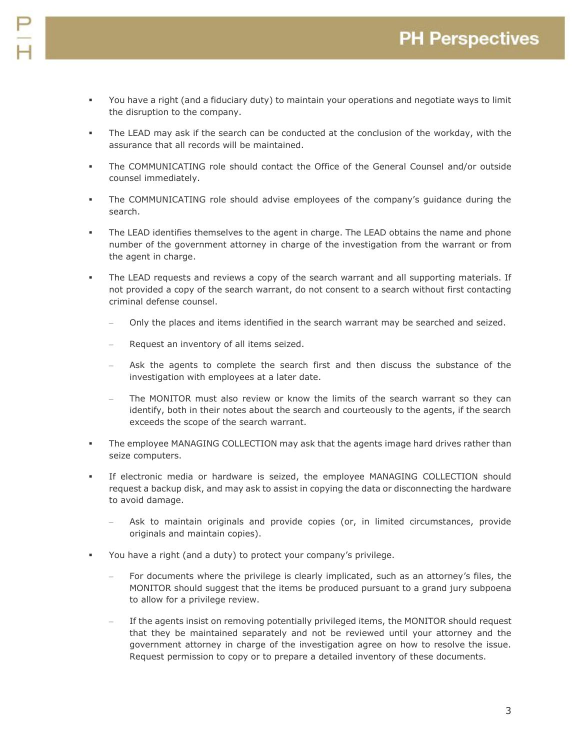- You have a right (and a fiduciary duty) to maintain your operations and negotiate ways to limit the disruption to the company.
- The LEAD may ask if the search can be conducted at the conclusion of the workday, with the assurance that all records will be maintained.
- The COMMUNICATING role should contact the Office of the General Counsel and/or outside counsel immediately.
- The COMMUNICATING role should advise employees of the company's guidance during the search.
- The LEAD identifies themselves to the agent in charge. The LEAD obtains the name and phone number of the government attorney in charge of the investigation from the warrant or from the agent in charge.
- The LEAD requests and reviews a copy of the search warrant and all supporting materials. If not provided a copy of the search warrant, do not consent to a search without first contacting criminal defense counsel.
	- Only the places and items identified in the search warrant may be searched and seized.
	- Request an inventory of all items seized.
	- Ask the agents to complete the search first and then discuss the substance of the investigation with employees at a later date.
	- The MONITOR must also review or know the limits of the search warrant so they can identify, both in their notes about the search and courteously to the agents, if the search exceeds the scope of the search warrant.
- **The employee MANAGING COLLECTION may ask that the agents image hard drives rather than** seize computers.
- If electronic media or hardware is seized, the employee MANAGING COLLECTION should request a backup disk, and may ask to assist in copying the data or disconnecting the hardware to avoid damage.
	- Ask to maintain originals and provide copies (or, in limited circumstances, provide originals and maintain copies).
- You have a right (and a duty) to protect your company's privilege.
	- For documents where the privilege is clearly implicated, such as an attorney's files, the MONITOR should suggest that the items be produced pursuant to a grand jury subpoena to allow for a privilege review.
	- If the agents insist on removing potentially privileged items, the MONITOR should request that they be maintained separately and not be reviewed until your attorney and the government attorney in charge of the investigation agree on how to resolve the issue. Request permission to copy or to prepare a detailed inventory of these documents.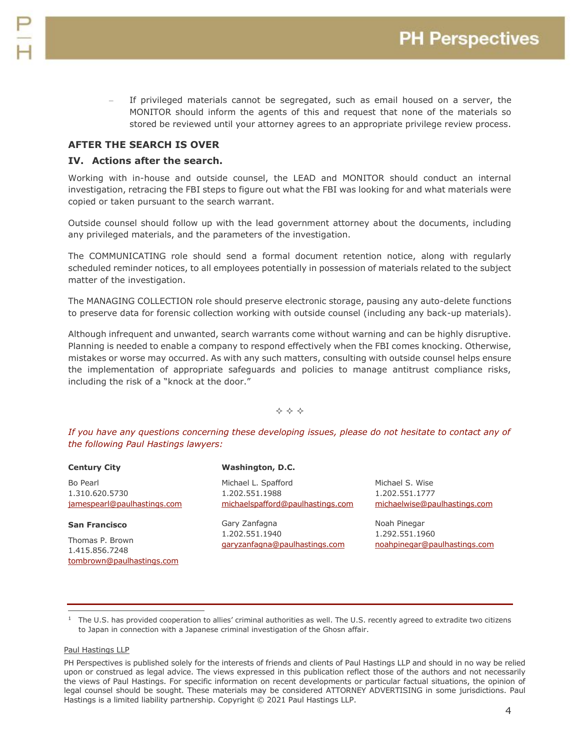If privileged materials cannot be segregated, such as email housed on a server, the MONITOR should inform the agents of this and request that none of the materials so stored be reviewed until your attorney agrees to an appropriate privilege review process.

#### **AFTER THE SEARCH IS OVER**

#### **IV. Actions after the search.**

Working with in-house and outside counsel, the LEAD and MONITOR should conduct an internal investigation, retracing the FBI steps to figure out what the FBI was looking for and what materials were copied or taken pursuant to the search warrant.

Outside counsel should follow up with the lead government attorney about the documents, including any privileged materials, and the parameters of the investigation.

The COMMUNICATING role should send a formal document retention notice, along with regularly scheduled reminder notices, to all employees potentially in possession of materials related to the subject matter of the investigation.

The MANAGING COLLECTION role should preserve electronic storage, pausing any auto-delete functions to preserve data for forensic collection working with outside counsel (including any back-up materials).

Although infrequent and unwanted, search warrants come without warning and can be highly disruptive. Planning is needed to enable a company to respond effectively when the FBI comes knocking. Otherwise, mistakes or worse may occurred. As with any such matters, consulting with outside counsel helps ensure the implementation of appropriate safeguards and policies to manage antitrust compliance risks, including the risk of a "knock at the door."

#### $\Leftrightarrow$   $\Leftrightarrow$   $\Leftrightarrow$

*If you have any questions concerning these developing issues, please do not hesitate to contact any of the following Paul Hastings lawyers:*

| <b>Century City</b>                                       | <b>Washington, D.C.</b>                                                   |                                                                   |
|-----------------------------------------------------------|---------------------------------------------------------------------------|-------------------------------------------------------------------|
| Bo Pearl<br>1.310.620.5730<br>jamespearl@paulhastings.com | Michael L. Spafford<br>1.202.551.1988<br>michaelspafford@paulhastings.com | Michael S. Wise<br>1.202.551.1777<br>michaelwise@paulhastings.com |
| <b>San Francisco</b>                                      | Gary Zanfagna<br>1.202.551.1940<br>garyzanfagna@paulhastings.com          | Noah Pinegar<br>1.292.551.1960<br>noahpinegar@paulhastings.com    |
| Thomas P. Brown<br>1.415.856.7248                         |                                                                           |                                                                   |

#### Paul Hastings LLP

 $\overline{a}$ 

[tombrown@paulhastings.com](mailto:tombrown@paulhastings.com)

<sup>1</sup> The U.S. has provided cooperation to allies' criminal authorities as well. The U.S. recently agreed to extradite two citizens to Japan in connection with a Japanese criminal investigation of the Ghosn affair.

PH Perspectives is published solely for the interests of friends and clients of Paul Hastings LLP and should in no way be relied upon or construed as legal advice. The views expressed in this publication reflect those of the authors and not necessarily the views of Paul Hastings. For specific information on recent developments or particular factual situations, the opinion of legal counsel should be sought. These materials may be considered ATTORNEY ADVERTISING in some jurisdictions. Paul Hastings is a limited liability partnership. Copyright © 2021 Paul Hastings LLP.